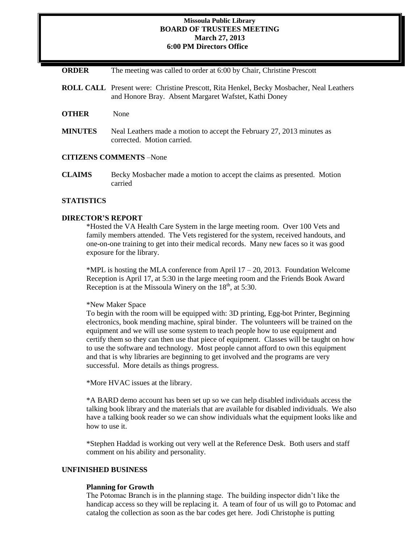### **Missoula Public Library BOARD OF TRUSTEES MEETING March 27, 2013 6:00 PM Directors Office**

**ORDER** The meeting was called to order at 6:00 by Chair, Christine Prescott

- **ROLL CALL** Present were: Christine Prescott, Rita Henkel, Becky Mosbacher, Neal Leathers and Honore Bray. Absent Margaret Wafstet, Kathi Doney
- **OTHER** None
- **MINUTES** Neal Leathers made a motion to accept the February 27, 2013 minutes as corrected. Motion carried.

#### **CITIZENS COMMENTS** –None

**CLAIMS** Becky Mosbacher made a motion to accept the claims as presented. Motion carried

### **STATISTICS**

#### **DIRECTOR'S REPORT**

\*Hosted the VA Health Care System in the large meeting room. Over 100 Vets and family members attended. The Vets registered for the system, received handouts, and one-on-one training to get into their medical records. Many new faces so it was good exposure for the library.

\*MPL is hosting the MLA conference from April  $17 - 20$ , 2013. Foundation Welcome Reception is April 17, at 5:30 in the large meeting room and the Friends Book Award Reception is at the Missoula Winery on the  $18<sup>th</sup>$ , at 5:30.

\*New Maker Space

To begin with the room will be equipped with: 3D printing, Egg-bot Printer, Beginning electronics, book mending machine, spiral binder. The volunteers will be trained on the equipment and we will use some system to teach people how to use equipment and certify them so they can then use that piece of equipment. Classes will be taught on how to use the software and technology. Most people cannot afford to own this equipment and that is why libraries are beginning to get involved and the programs are very successful. More details as things progress.

\*More HVAC issues at the library.

\*A BARD demo account has been set up so we can help disabled individuals access the talking book library and the materials that are available for disabled individuals. We also have a talking book reader so we can show individuals what the equipment looks like and how to use it.

\*Stephen Haddad is working out very well at the Reference Desk. Both users and staff comment on his ability and personality.

### **UNFINISHED BUSINESS**

#### **Planning for Growth**

The Potomac Branch is in the planning stage. The building inspector didn't like the handicap access so they will be replacing it. A team of four of us will go to Potomac and catalog the collection as soon as the bar codes get here. Jodi Christophe is putting